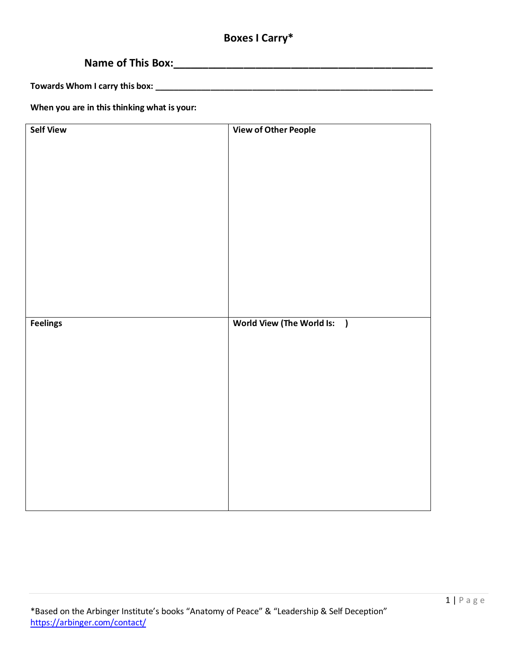# **Boxes I Carry\***

# **Name of This Box:\_\_\_\_\_\_\_\_\_\_\_\_\_\_\_\_\_\_\_\_\_\_\_\_\_\_\_\_\_\_\_\_\_\_\_\_\_\_\_\_\_\_\_\_**

**Towards Whom I carry this box: \_\_\_\_\_\_\_\_\_\_\_\_\_\_\_\_\_\_\_\_\_\_\_\_\_\_\_\_\_\_\_\_\_\_\_\_\_\_\_\_\_\_\_\_\_\_\_\_\_\_\_\_\_\_\_\_\_\_\_\_**

**When you are in this thinking what is your:**

| <b>Self View</b> | <b>View of Other People</b> |
|------------------|-----------------------------|
|                  |                             |
|                  |                             |
|                  |                             |
|                  |                             |
|                  |                             |
|                  |                             |
|                  |                             |
|                  |                             |
|                  |                             |
|                  |                             |
|                  |                             |
|                  |                             |
|                  |                             |
|                  |                             |
|                  |                             |
|                  |                             |
| Feelings         | World View (The World Is: ) |
|                  |                             |
|                  |                             |
|                  |                             |
|                  |                             |
|                  |                             |
|                  |                             |
|                  |                             |
|                  |                             |
|                  |                             |
|                  |                             |
|                  |                             |
|                  |                             |
|                  |                             |
|                  |                             |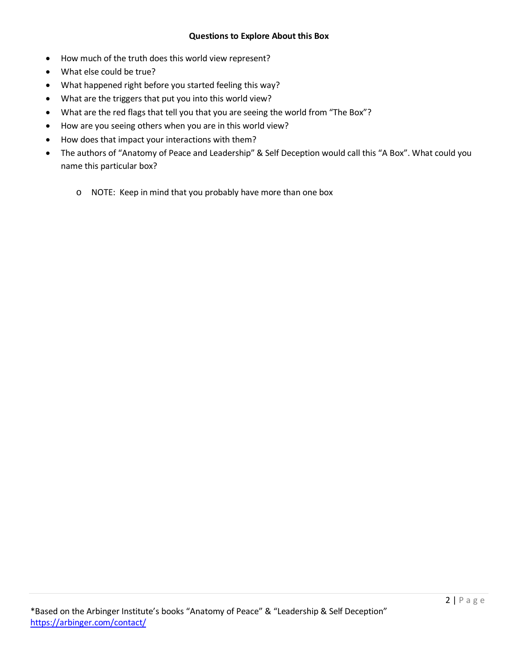## **Questions to Explore About this Box**

- How much of the truth does this world view represent?
- What else could be true?
- What happened right before you started feeling this way?
- What are the triggers that put you into this world view?
- What are the red flags that tell you that you are seeing the world from "The Box"?
- How are you seeing others when you are in this world view?
- How does that impact your interactions with them?
- The authors of "Anatomy of Peace and Leadership" & Self Deception would call this "A Box". What could you name this particular box?
	- o NOTE: Keep in mind that you probably have more than one box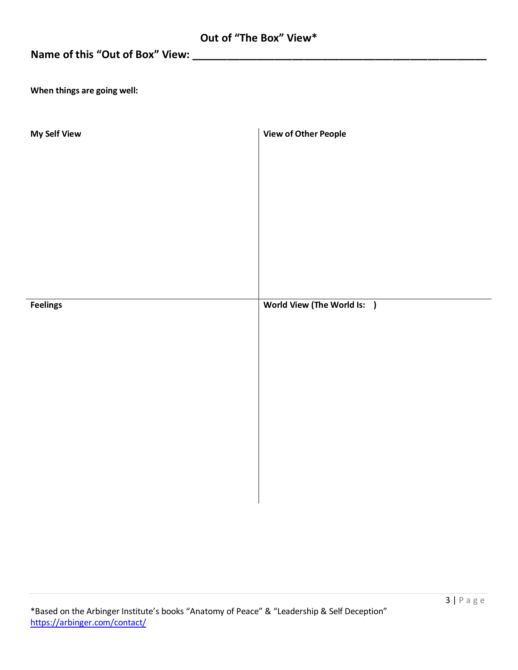|  |  |  |  | Out of "The Box" View* |
|--|--|--|--|------------------------|
|--|--|--|--|------------------------|

# **Name of this "Out of Box" View: \_\_\_\_\_\_\_\_\_\_\_\_\_\_\_\_\_\_\_\_\_\_\_\_\_\_\_\_\_\_\_\_\_\_\_\_\_\_\_\_\_\_\_\_\_\_\_\_\_\_**

**When things are going well:**

| My Self View    | <b>View of Other People</b> |
|-----------------|-----------------------------|
|                 |                             |
|                 |                             |
|                 |                             |
|                 |                             |
|                 |                             |
|                 |                             |
|                 |                             |
| <b>Feelings</b> | World View (The World Is: ) |
|                 |                             |
|                 |                             |
|                 |                             |
|                 |                             |
|                 |                             |
|                 |                             |
|                 |                             |
|                 |                             |
|                 |                             |
|                 |                             |
|                 |                             |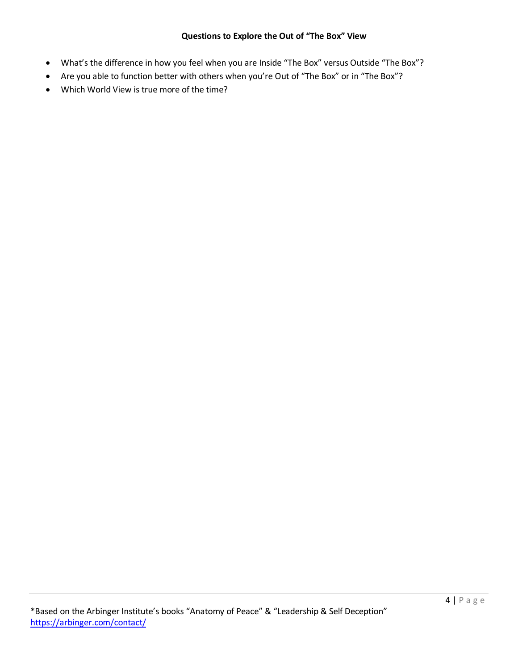#### **Questions to Explore the Out of "The Box" View**

- What's the difference in how you feel when you are Inside "The Box" versus Outside "The Box"?
- Are you able to function better with others when you're Out of "The Box" or in "The Box"?
- Which World View is true more of the time?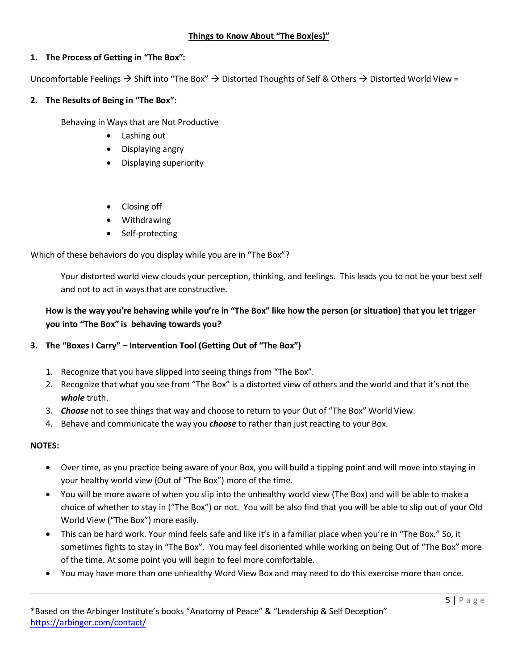## **1. The Process of Getting in "The Box":**

Uncomfortable Feelings  $\rightarrow$  Shift into "The Box"  $\rightarrow$  Distorted Thoughts of Self & Others  $\rightarrow$  Distorted World View =

## **2. The Results of Being in "The Box":**

Behaving in Ways that are Not Productive

- Lashing out
- Displaying angry
- Displaying superiority
- Closing off
- Withdrawing
- Self-protecting

Which of these behaviors do you display while you are in "The Box"?

Your distorted world view clouds your perception, thinking, and feelings. This leads you to not be your best self and not to act in ways that are constructive.

## **How is the way you're behaving while you're in "The Box" like how the person (or situation) that you let trigger you into "The Box" is behaving towards you?**

## **3. The "Boxes I Carry" – Intervention Tool (Getting Out of "The Box")**

- 1. Recognize that you have slipped into seeing things from "The Box".
- 2. Recognize that what you see from "The Box" is a distorted view of others and the world and that it's not the *whole* truth.
- 3. *Choose* not to see things that way and choose to return to your Out of "The Box" World View.
- 4. Behave and communicate the way you *choose* to rather than just reacting to your Box.

## **NOTES:**

- Over time, as you practice being aware of your Box, you will build a tipping point and will move into staying in your healthy world view (Out of "The Box") more of the time.
- You will be more aware of when you slip into the unhealthy world view (The Box) and will be able to make a choice of whether to stay in ("The Box") or not. You will be also find that you will be able to slip out of your Old World View ("The Box") more easily.
- This can be hard work. Your mind feels safe and like it's in a familiar place when you're in "The Box." So, it sometimes fights to stay in "The Box". You may feel disoriented while working on being Out of "The Box" more of the time. At some point you will begin to feel more comfortable.
- You may have more than one unhealthy Word View Box and may need to do this exercise more than once.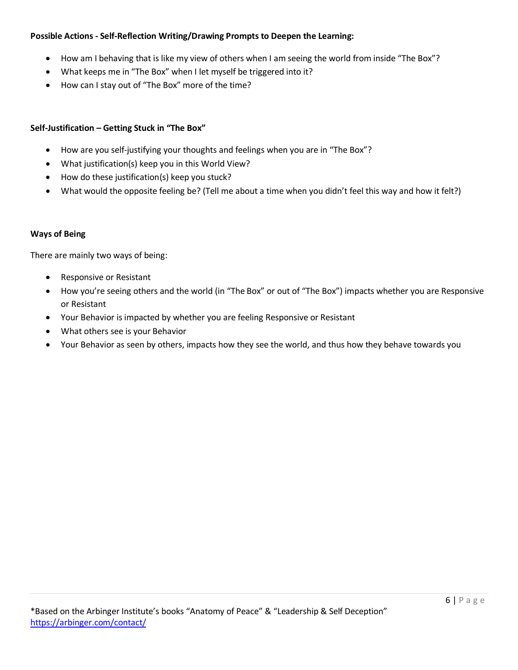## **Possible Actions - Self-Reflection Writing/Drawing Prompts to Deepen the Learning:**

- How am I behaving that is like my view of others when I am seeing the world from inside "The Box"?
- What keeps me in "The Box" when I let myself be triggered into it?
- How can I stay out of "The Box" more of the time?

## **Self-Justification – Getting Stuck in "The Box"**

- How are you self-justifying your thoughts and feelings when you are in "The Box"?
- What justification(s) keep you in this World View?
- How do these justification(s) keep you stuck?
- What would the opposite feeling be? (Tell me about a time when you didn't feel this way and how it felt?)

## **Ways of Being**

There are mainly two ways of being:

- Responsive or Resistant
- How you're seeing others and the world (in "The Box" or out of "The Box") impacts whether you are Responsive or Resistant
- Your Behavior is impacted by whether you are feeling Responsive or Resistant
- What others see is your Behavior
- Your Behavior as seen by others, impacts how they see the world, and thus how they behave towards you